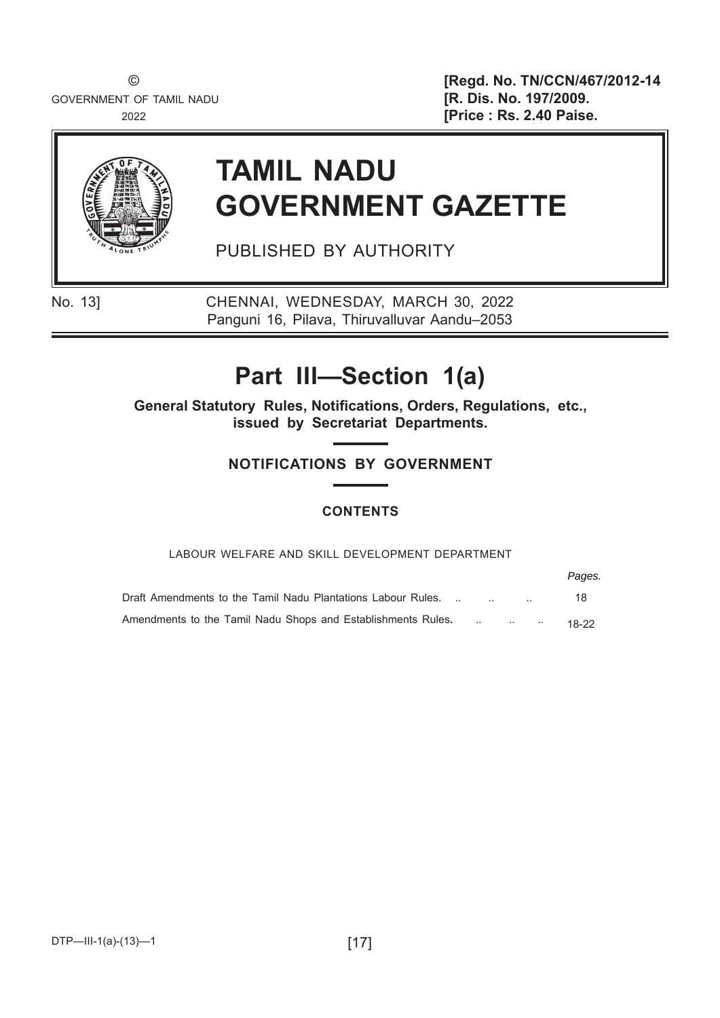GOVERNMENT OF TAMIL NADU **1999 [R. Dis. No. 197/2009.** 

© **[Regd. No. TN/CCN/467/2012-14** 2022 **[Price : Rs. 2.40 Paise.**



# **TAMIL NADU GOVERNMENT GAZETTE**

PUBLISHED BY AUTHORITY

No. 13] CHENNAI, WEDNESDAY, MARCH 30, 2022 Panguni 16, Pilava, Thiruvalluvar Aandu–2053

## **Part III—Section 1(a)**

**General Statutory Rules, Notifications, Orders, Regulations, etc., issued by Secretariat Departments.**

#### **NOTIFICATIONS BY GOVERNMENT**

#### **CONTENTS**

#### LABOUR WELFARE AND SKILL DEVELOPMENT DEPARTMENT

|                                                              |  | Pages. |
|--------------------------------------------------------------|--|--------|
| Draft Amendments to the Tamil Nadu Plantations Labour Rules. |  | 18     |
| Amendments to the Tamil Nadu Shops and Establishments Rules. |  | 18-22  |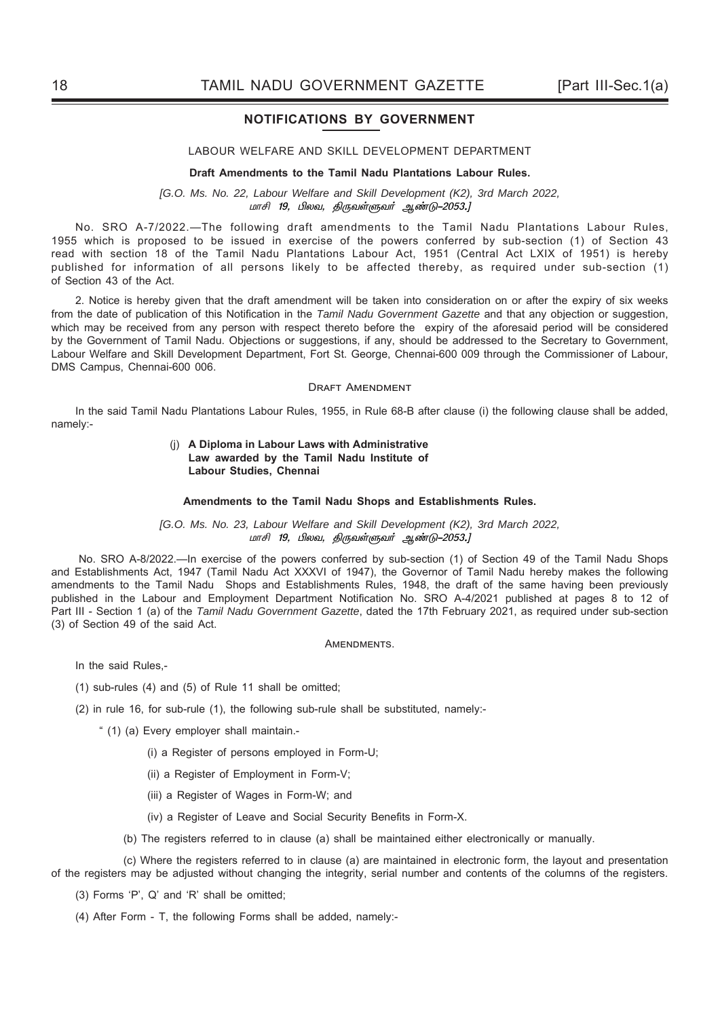#### **NOTIFICATIONS BY GOVERNMENT**

#### LABOUR WELFARE AND SKILL DEVELOPMENT DEPARTMENT

#### **Draft Amendments to the Tamil Nadu Plantations Labour Rules.**

*[G.O. Ms. No. 22, Labour Welfare and Skill Development (K2), 3rd March 2022,*  மாசி 19, பிலவ, திருவள்ளுவர் ஆண்டு–2053.]

 No. SRO A-7/2022.—The following draft amendments to the Tamil Nadu Plantations Labour Rules, 1955 which is proposed to be issued in exercise of the powers conferred by sub-section (1) of Section 43 read with section 18 of the Tamil Nadu Plantations Labour Act, 1951 (Central Act LXIX of 1951) is hereby published for information of all persons likely to be affected thereby, as required under sub-section (1) of Section 43 of the Act.

2. Notice is hereby given that the draft amendment will be taken into consideration on or after the expiry of six weeks from the date of publication of this Notification in the *Tamil Nadu Government Gazette* and that any objection or suggestion, which may be received from any person with respect thereto before the expiry of the aforesaid period will be considered by the Government of Tamil Nadu. Objections or suggestions, if any, should be addressed to the Secretary to Government, Labour Welfare and Skill Development Department, Fort St. George, Chennai-600 009 through the Commissioner of Labour, DMS Campus, Chennai-600 006.

#### DRAFT AMENDMENT

In the said Tamil Nadu Plantations Labour Rules, 1955, in Rule 68-B after clause (i) the following clause shall be added, namely:-

#### (j) **A Diploma in Labour Laws with Administrative Law awarded by the Tamil Nadu Institute of Labour Studies, Chennai**

#### **Amendments to the Tamil Nadu Shops and Establishments Rules.**

#### *[G.O. Ms. No. 23, Labour Welfare and Skill Development (K2), 3rd March 2022,*  ் மாசி 19, பிலவ, திருவள்ளுவர் ஆண்டு–2053.]

No. SRO A-8/2022.—In exercise of the powers conferred by sub-section (1) of Section 49 of the Tamil Nadu Shops and Establishments Act, 1947 (Tamil Nadu Act XXXVI of 1947), the Governor of Tamil Nadu hereby makes the following amendments to the Tamil Nadu Shops and Establishments Rules, 1948, the draft of the same having been previously published in the Labour and Employment Department Notification No. SRO A-4/2021 published at pages 8 to 12 of Part III - Section 1 (a) of the *Tamil Nadu Government Gazette*, dated the 17th February 2021, as required under sub-section (3) of Section 49 of the said Act.

#### **AMENDMENTS.**

In the said Rules,-

- (1) sub-rules (4) and (5) of Rule 11 shall be omitted;
- (2) in rule 16, for sub-rule (1), the following sub-rule shall be substituted, namely:-
	- " (1) (a) Every employer shall maintain.-
		- (i) a Register of persons employed in Form-U;
		- (ii) a Register of Employment in Form-V;
		- (iii) a Register of Wages in Form-W; and
		- (iv) a Register of Leave and Social Security Benefits in Form-X.
		- (b) The registers referred to in clause (a) shall be maintained either electronically or manually.

 (c) Where the registers referred to in clause (a) are maintained in electronic form, the layout and presentation of the registers may be adjusted without changing the integrity, serial number and contents of the columns of the registers.

- (3) Forms 'P', Q' and 'R' shall be omitted;
- (4) After Form T, the following Forms shall be added, namely:-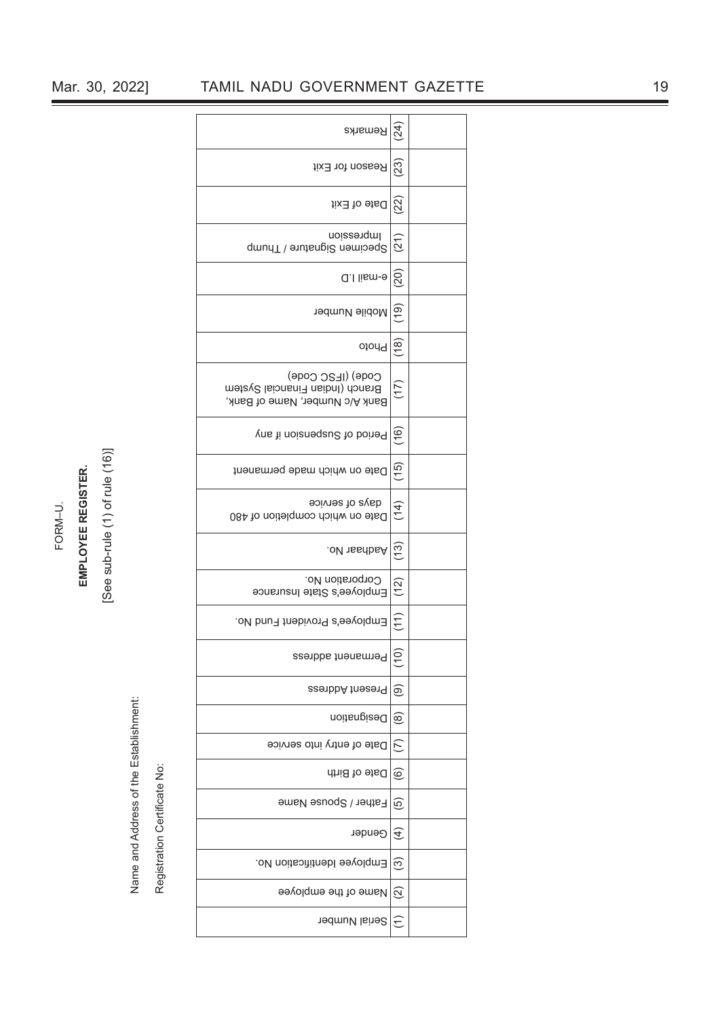Name and Address of the Establishment: Name and Address of the Establishment:<br>Registration Certificate No:

Registration Certificate No:

| Remarks                                                                                | (24)                       |
|----------------------------------------------------------------------------------------|----------------------------|
| Reason for Exit                                                                        | (23)                       |
| Date of Exit                                                                           | (22)                       |
| Impression<br>Specimen Signatiue / Thump                                               | (21)                       |
| e-mail I.D                                                                             | (20)                       |
| Mobile Number                                                                          | (19)                       |
| Photo                                                                                  | (18)                       |
| Code) (IFSC Code)<br>Branch (Indian Financial System<br>Bank A/c Number, Name of Bank, | (17)                       |
| Period of Suspension if any                                                            | (16)                       |
| Date on which made permanent                                                           | (15)                       |
| eoivnes to avab<br>Date on which completion of 480                                     | (14)                       |
| .oV 1ssrbsA                                                                            | (13)                       |
| Corporation No.<br>Employee's State Insurance                                          | (12)                       |
| Employee's Provident Fund No.                                                          | (11)                       |
| Permanent address                                                                      | 은                          |
| Present Address                                                                        | ම)                         |
| <b>Designation</b>                                                                     | $\circledR$                |
| Date of entry into service                                                             | $\widehat{C}$              |
| Date of Birth                                                                          | $\widehat{\circ}$          |
| Father / Spouse Name                                                                   | $\widetilde{\mathfrak{G}}$ |
| Gender                                                                                 | E                          |
| Employee Identification No.                                                            | ල                          |
| Name of the employee                                                                   | $\widehat{\infty}$         |
| Serial Number                                                                          |                            |

FORM–U.<br>**EMPLOYEE REGISTER.**<br>[See sub-rule (1) of rule (16)]

### Mar. 30, 2022] TAMIL NADU GOVERNMENT GAZETTE 19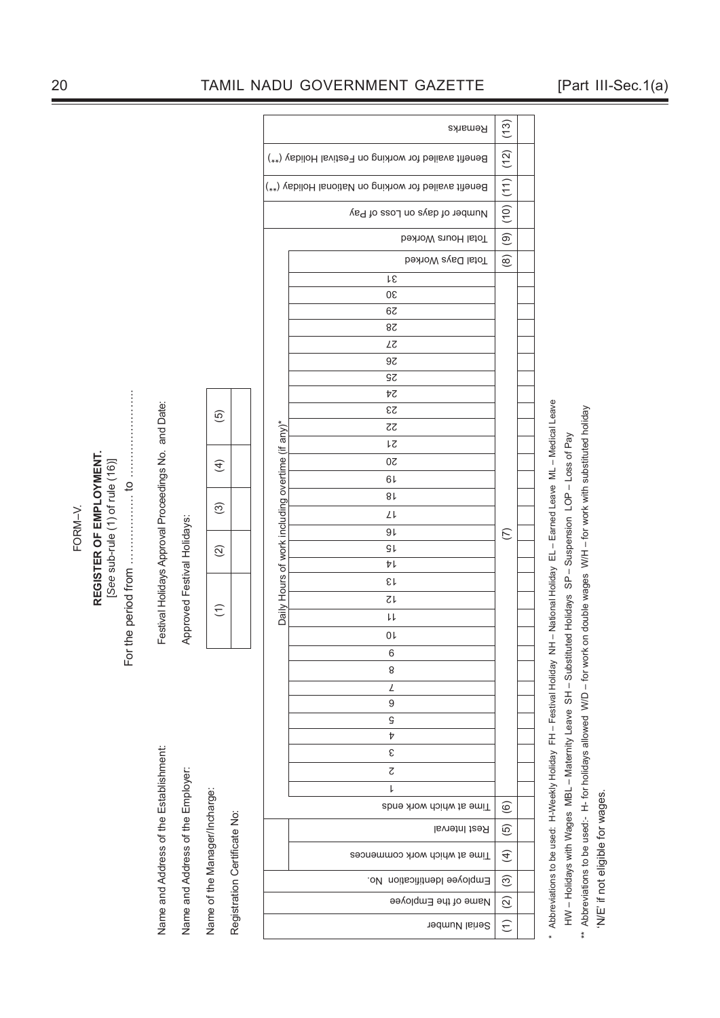|         |                                                            |                                                      |                                                      |                             |                                                               |                                                      | Remarks                                                            | (13)                    |                         |                      |  |  |
|---------|------------------------------------------------------------|------------------------------------------------------|------------------------------------------------------|-----------------------------|---------------------------------------------------------------|------------------------------------------------------|--------------------------------------------------------------------|-------------------------|-------------------------|----------------------|--|--|
|         |                                                            |                                                      |                                                      |                             |                                                               | Benefit availed for working on Festival Holiday (**) | (12)                                                               |                         |                         |                      |  |  |
|         |                                                            | Benefit availed for working on National Holiday (**) |                                                      |                             |                                                               |                                                      |                                                                    | (11)                    |                         |                      |  |  |
|         |                                                            |                                                      |                                                      |                             |                                                               |                                                      | Number of days on Loss of Pay                                      | (10)                    |                         |                      |  |  |
|         |                                                            |                                                      |                                                      |                             |                                                               |                                                      | Total Hours Worked                                                 | $\widehat{\mathcal{O}}$ |                         |                      |  |  |
|         |                                                            |                                                      |                                                      |                             |                                                               |                                                      | <b>Total Days Worked</b>                                           | $\circledcirc$          |                         |                      |  |  |
|         |                                                            |                                                      |                                                      |                             |                                                               |                                                      | ŀε                                                                 |                         |                         |                      |  |  |
|         |                                                            |                                                      |                                                      |                             |                                                               |                                                      | 30                                                                 |                         |                         |                      |  |  |
|         |                                                            |                                                      |                                                      |                             |                                                               |                                                      | 67                                                                 |                         |                         |                      |  |  |
|         |                                                            |                                                      |                                                      |                             |                                                               |                                                      | 8 <sup>z</sup>                                                     |                         |                         |                      |  |  |
|         |                                                            |                                                      |                                                      |                             |                                                               |                                                      |                                                                    | LΖ                      |                         |                      |  |  |
|         |                                                            |                                                      |                                                      |                             |                                                               |                                                      | 9 <sub>z</sub>                                                     |                         |                         |                      |  |  |
|         |                                                            |                                                      |                                                      |                             |                                                               |                                                      | SΣ                                                                 |                         |                         |                      |  |  |
|         |                                                            |                                                      |                                                      |                             |                                                               |                                                      | ÞΖ                                                                 |                         |                         |                      |  |  |
|         |                                                            |                                                      |                                                      |                             |                                                               |                                                      | $\mathbb{S} \mathbb{S}$                                            |                         |                         |                      |  |  |
|         |                                                            |                                                      |                                                      |                             | $\widetilde{\Theta}$                                          |                                                      | $\zeta\zeta$                                                       |                         |                         |                      |  |  |
|         |                                                            |                                                      |                                                      |                             |                                                               |                                                      | ŀζ                                                                 |                         |                         |                      |  |  |
|         |                                                            |                                                      |                                                      |                             |                                                               |                                                      | Daily Hours of work including overtime (if any)*<br>$\overline{0}$ |                         |                         |                      |  |  |
|         | REGISTER OF EMPLOYMENT.<br>[See sub-rule (1) of rule (16)] |                                                      |                                                      |                             | $\widehat{f}$                                                 |                                                      | 61                                                                 |                         |                         |                      |  |  |
|         |                                                            | $\frac{1}{2}$                                        |                                                      |                             |                                                               |                                                      |                                                                    |                         |                         |                      |  |  |
|         |                                                            |                                                      |                                                      |                             | $\odot$                                                       |                                                      | $8\,\rm k$                                                         |                         |                         |                      |  |  |
|         |                                                            |                                                      |                                                      |                             |                                                               |                                                      | Lμ                                                                 |                         |                         |                      |  |  |
| FORM-V. |                                                            |                                                      | Festival Holidays Approval Proceedings No. and Date: | Approved Festival Holidays: |                                                               |                                                      | 91                                                                 | $\widehat{\subset}$     |                         |                      |  |  |
|         |                                                            | the period from                                      |                                                      |                             |                                                               |                                                      | $\odot$                                                            |                         | $\mathsf{GL}$           |                      |  |  |
|         |                                                            |                                                      |                                                      |                             |                                                               |                                                      | ÞΙ                                                                 |                         |                         |                      |  |  |
|         |                                                            |                                                      |                                                      |                             |                                                               |                                                      | εı                                                                 |                         |                         |                      |  |  |
|         |                                                            |                                                      |                                                      |                             | $\widehat{\epsilon}$                                          |                                                      | $\zeta\!\!\downarrow$                                              |                         |                         |                      |  |  |
|         |                                                            |                                                      |                                                      |                             |                                                               |                                                      | $\downarrow\downarrow$                                             |                         |                         |                      |  |  |
|         |                                                            |                                                      |                                                      |                             |                                                               |                                                      | $0\,\mathsf{L}$                                                    |                         |                         |                      |  |  |
|         |                                                            | For                                                  |                                                      |                             |                                                               |                                                      | $\sqrt{6}$                                                         |                         |                         |                      |  |  |
|         |                                                            |                                                      |                                                      |                             |                                                               |                                                      | 8                                                                  |                         |                         |                      |  |  |
|         |                                                            |                                                      |                                                      |                             |                                                               |                                                      | L                                                                  |                         |                         |                      |  |  |
|         |                                                            |                                                      |                                                      |                             |                                                               |                                                      | $\boldsymbol{9}$                                                   |                         |                         |                      |  |  |
|         |                                                            |                                                      |                                                      |                             |                                                               |                                                      | $\mathsf{G}$                                                       |                         |                         |                      |  |  |
|         |                                                            |                                                      |                                                      |                             |                                                               |                                                      | Þ                                                                  |                         |                         |                      |  |  |
|         |                                                            |                                                      |                                                      |                             |                                                               |                                                      | $\boldsymbol{\epsilon}$                                            |                         |                         |                      |  |  |
|         |                                                            |                                                      |                                                      |                             |                                                               |                                                      | $\zeta$                                                            |                         |                         |                      |  |  |
|         |                                                            |                                                      |                                                      |                             |                                                               |                                                      |                                                                    |                         |                         | l                    |  |  |
|         |                                                            |                                                      |                                                      |                             | Name and Address of the Employer:                             |                                                      |                                                                    |                         | Time at which work ends | $\circlede$          |  |  |
|         |                                                            |                                                      |                                                      |                             |                                                               |                                                      |                                                                    |                         | Rest Interval           | $\widetilde{\Theta}$ |  |  |
|         |                                                            |                                                      | Name and Address of the Establishment:               |                             | Name of the Manager/Incharge:<br>Registration Certificate No: |                                                      |                                                                    |                         |                         |                      |  |  |
|         |                                                            |                                                      |                                                      |                             |                                                               |                                                      | Time at which work commences                                       | $\widehat{f}$           |                         |                      |  |  |
|         |                                                            |                                                      |                                                      |                             |                                                               |                                                      | Employee Identification No.                                        | $\odot$                 |                         |                      |  |  |
|         |                                                            |                                                      |                                                      |                             |                                                               |                                                      | Name of the Employee                                               | $\widehat{2}$           |                         |                      |  |  |
|         |                                                            |                                                      |                                                      |                             |                                                               |                                                      | Serial Number                                                      | $\widehat{\epsilon}$    |                         |                      |  |  |

HW - Holidays with Wages MBL - Maternity Leave SH - Substituted Holidays SP - Suspension LOP - Loss of Pay HW – Holidays with Wages MBL – Maternity Leave SH – Substituted Holidays SP – Suspension LOP – Loss of Pay

\*\* Abbreviations to be used:- H- for holidays allowed W/D - for work on double wages W/H - for work with substituted holiday \*\* Abbreviations to be used:- H- for holidays allowed W/D – for work on double wages W/H – for work with substituted holiday 'N/E' if not eligible for wages. 'N/E' if not eligible for wages.

FORM-V.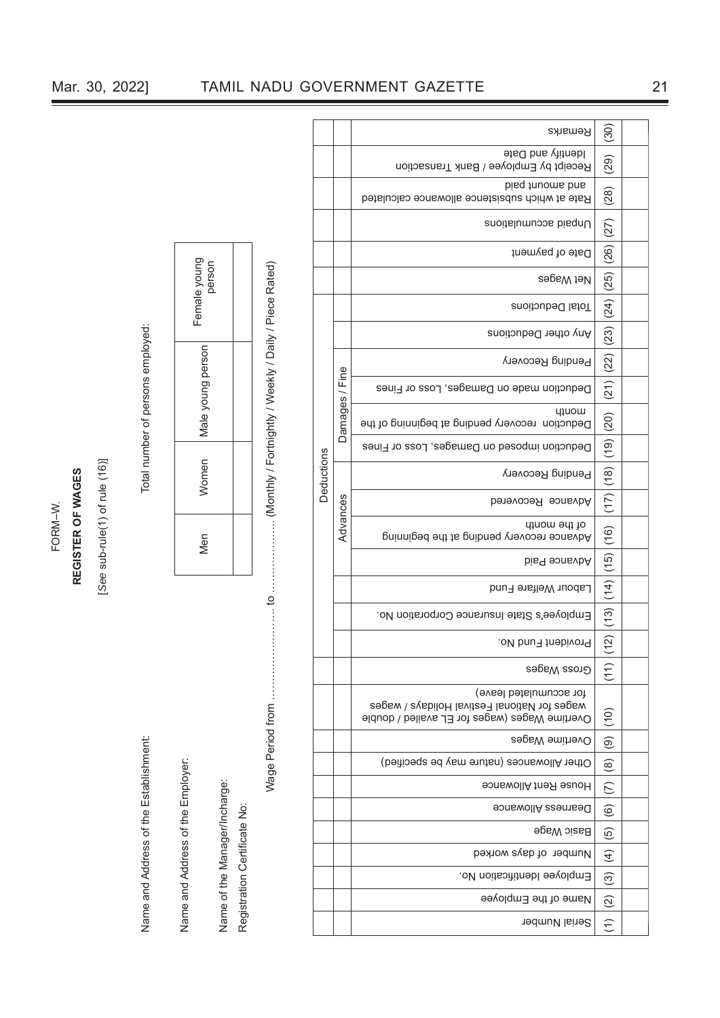# FORM–W. **REGISTER OF WAGES**

# [See sub-rule(1) of rule (16)] [*See* sub-rule(1) of rule (16)]

Name and Address of the Establishment: Total number of persons employed: Name and Address of the Establishment:

Name and Address of the Employer: Name and Address of the Employer:

Name of the Manager/Incharge: Name of the Manager/Incharge:

Registration Certificate No: Registration Certificate No:

Total number of persons employed:

| Female young<br>person |  |
|------------------------|--|
| Male young person      |  |
| Vomen                  |  |
| /len                   |  |

Wage Period from ……………………. to ……………….. (Monthly / Fortnightly / Weekly / Daily / Piece Rated)

|            |                | (30)                                                                                                                    |                                                                    |  |
|------------|----------------|-------------------------------------------------------------------------------------------------------------------------|--------------------------------------------------------------------|--|
|            |                | ldentify and Date<br>Receipt by Employee / Bank Transaction                                                             | (29)                                                               |  |
|            |                | bisq frivoms base<br>Rate at which subsistence allowance calculated                                                     | (28)                                                               |  |
|            |                | Unpaid accumulations                                                                                                    |                                                                    |  |
|            |                | Date of payment                                                                                                         |                                                                    |  |
|            |                | Net Wages                                                                                                               |                                                                    |  |
|            |                | Total Deductions                                                                                                        |                                                                    |  |
|            |                | Any other Deductions                                                                                                    |                                                                    |  |
|            |                | Pending Recovery                                                                                                        |                                                                    |  |
|            |                | Deduction made on Damages, Loss or Fines                                                                                |                                                                    |  |
|            | Damages / Fine | <b>u</b> uow<br>Deduction recovery pending at beginning of the                                                          | $(17)  (18)  (19)  (20)  (27)  (22)  (23)  (24)  (25)  (26)  (27)$ |  |
|            |                | Deduction imposed on Damages, Loss or Fines                                                                             |                                                                    |  |
| Deductions |                | Pending Recovery                                                                                                        |                                                                    |  |
|            | Advances       | Advance Recovered                                                                                                       |                                                                    |  |
|            |                | of the month<br>Advance recovery pending at the beginning                                                               | $(12)$ $(13)$ $(14)$ $(15)$ $(16)$                                 |  |
|            |                | bis <sup>q</sup> sonsvbA                                                                                                |                                                                    |  |
|            |                | Labour Welfare Fund                                                                                                     |                                                                    |  |
|            |                | Employee's State Insurance Corporation No.                                                                              |                                                                    |  |
|            |                | Provident Fund No.                                                                                                      |                                                                    |  |
|            |                | enosa Wages                                                                                                             | (11)                                                               |  |
|            |                | for accumulated leave)<br>wages for National Festival Holidays / wages<br>Overtime Wages (wages for EL availed / double |                                                                    |  |
|            |                | Pvertime Wages                                                                                                          |                                                                    |  |
|            |                | Other Allowances (nature may be specified)                                                                              | $(7)$ (8) (9) (10)                                                 |  |
|            |                | House Rent Allowance                                                                                                    |                                                                    |  |
|            |                | Dearness Allowance                                                                                                      | $\overline{6}$                                                     |  |
|            |                | <b>Basic Wage</b>                                                                                                       | $\widehat{\Theta}$                                                 |  |
|            |                | Number of days worked                                                                                                   | $\left( 4\right)$                                                  |  |
|            |                | Employee Identification No.                                                                                             | $\odot$                                                            |  |
|            |                | Name of the Employee                                                                                                    | $\widehat{2}$                                                      |  |
|            |                | Serial Number                                                                                                           | $\widehat{\epsilon}$                                               |  |